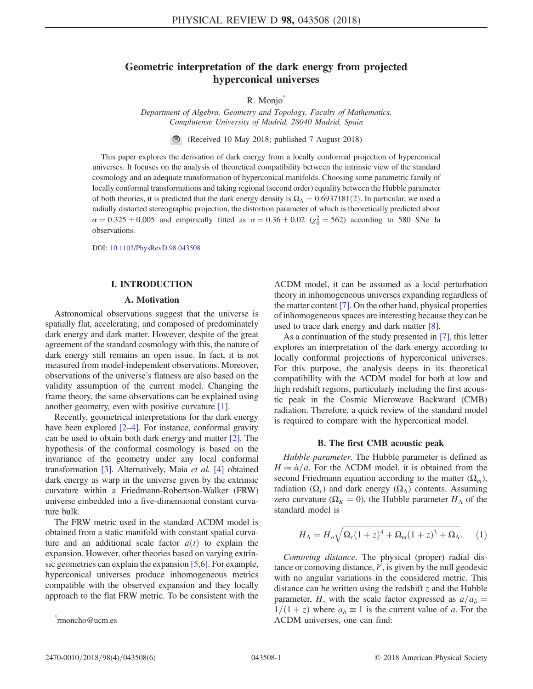# Geometric interpretation of the dark energy from projected hyperconical universes

R. Monjo

Department of Algebra, Geometry and Topology, Faculty of Mathematics, Complutense University of Madrid, 28040 Madrid, Spain

(Received 10 May 2018; published 7 August 2018)

<span id="page-0-1"></span>This paper explores the derivation of dark energy from a locally conformal projection of hyperconical universes. It focuses on the analysis of theoretical compatibility between the intrinsic view of the standard cosmology and an adequate transformation of hyperconical manifolds. Choosing some parametric family of locally conformal transformations and taking regional (second order) equality between the Hubble parameter of both theories, it is predicted that the dark energy density is  $\Omega_{\Lambda} = 0.6937181(2)$ . In particular, we used a radially distorted stereographic projection, the distortion parameter of which is theoretically predicted about  $\alpha = 0.325 \pm 0.005$  and empirically fitted as  $\alpha = 0.36 \pm 0.02$  ( $\chi_0^2 = 562$ ) according to 580 SNe Ia observations.

DOI: [10.1103/PhysRevD.98.043508](https://doi.org/10.1103/PhysRevD.98.043508)

#### I. INTRODUCTION

### A. Motivation

Astronomical observations suggest that the universe is spatially flat, accelerating, and composed of predominately dark energy and dark matter. However, despite of the great agreement of the standard cosmology with this, the nature of dark energy still remains an open issue. In fact, it is not measured from model-independent observations. Moreover, observations of the universe's flatness are also based on the validity assumption of the current model. Changing the frame theory, the same observations can be explained using another geometry, even with positive curvature [\[1\].](#page-4-0)

Recently, geometrical interpretations for the dark energy have been explored [\[2](#page-4-1)–4]. For instance, conformal gravity can be used to obtain both dark energy and matter [\[2\]](#page-4-1). The hypothesis of the conformal cosmology is based on the invariance of the geometry under any local conformal transformation [\[3\]](#page-4-2). Alternatively, Maia et al. [\[4\]](#page-4-3) obtained dark energy as warp in the universe given by the extrinsic curvature within a Friedmann-Robertson-Walker (FRW) universe embedded into a five-dimensional constant curvature bulk.

The FRW metric used in the standard ΛCDM model is obtained from a static manifold with constant spatial curvature and an additional scale factor  $a(t)$  to explain the expansion. However, other theories based on varying extrinsic geometries can explain the expansion [\[5,6\].](#page-5-0) For example, hyperconical universes produce inhomogeneous metrics compatible with the observed expansion and they locally approach to the flat FRW metric. To be consistent with the ΛCDM model, it can be assumed as a local perturbation theory in inhomogeneous universes expanding regardless of the matter content [\[7\].](#page-5-1) On the other hand, physical properties of inhomogeneous spaces are interesting because they can be used to trace dark energy and dark matter [\[8\].](#page-5-2)

As a continuation of the study presented in [\[7\],](#page-5-1) this letter explores an interpretation of the dark energy according to locally conformal projections of hyperconical universes. For this purpose, the analysis deeps in its theoretical compatibility with the ΛCDM model for both at low and high redshift regions, particularly including the first acoustic peak in the Cosmic Microwave Backward (CMB) radiation. Therefore, a quick review of the standard model is required to compare with the hyperconical model.

#### B. The first CMB acoustic peak

Hubble parameter. The Hubble parameter is defined as  $H = \dot{a}/a$ . For the ΛCDM model, it is obtained from the second Friedmann equation according to the matter  $(\Omega_m)$ , radiation  $(\Omega_r)$  and dark energy  $(\Omega_\Lambda)$  contents. Assuming zero curvature ( $\Omega_K = 0$ ), the Hubble parameter  $H_\Lambda$  of the standard model is

<span id="page-0-2"></span>
$$
H_{\Lambda} = H_o \sqrt{\Omega_r (1+z)^4 + \Omega_m (1+z)^3 + \Omega_\Lambda}.
$$
 (1)

<span id="page-0-3"></span>Comoving distance. The physical (proper) radial distance or comoving distance,  $\hat{r}'$ , is given by the null geodesic with no angular variations in the considered metric. This distance can be written using the redshift  $\zeta$  and the Hubble parameter, H, with the scale factor expressed as  $a/a<sub>\hat{o}</sub>$ </sub> =  $1/(1+z)$  where  $a_{\hat{o}} \equiv 1$  is the current value of a. For the ΛCDM universes, one can find: [\\*](#page-0-1)

<span id="page-0-0"></span>rmoncho@ucm.es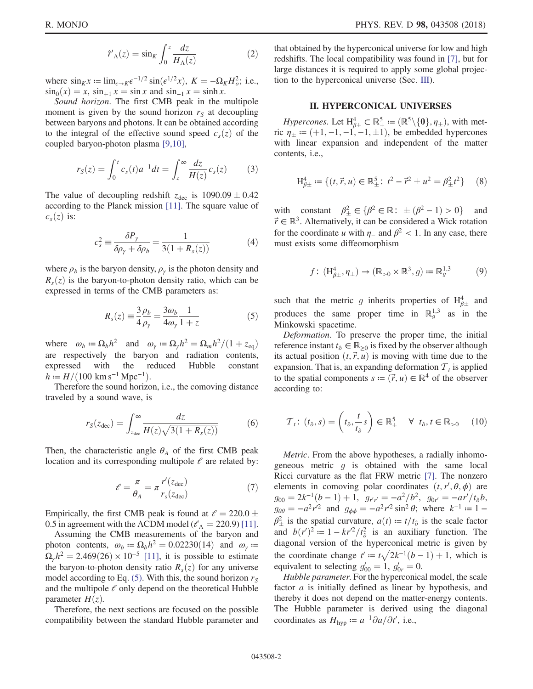$$
\hat{r}'_{\Lambda}(z) = \sin_K \int_0^z \frac{dz}{H_{\Lambda}(z)}\tag{2}
$$

where  $\sin_K x := \lim_{\epsilon \to K} \epsilon^{-1/2} \sin(\epsilon^{1/2} x)$ ,  $K = -\Omega_K H_o^2$ ; i.e.,<br> $\sin_b(x) = x \sin_b x$  and  $\sin_b x = \sinh x$  $\sin_0(x) = x$ ,  $\sin_{+1} x = \sin x$  and  $\sin_{-1} x = \sinh x$ .

<span id="page-1-1"></span>Sound horizon. The first CMB peak in the multipole moment is given by the sound horizon  $r<sub>S</sub>$  at decoupling between baryons and photons. It can be obtained according to the integral of the effective sound speed  $c_s(z)$  of the coupled baryon-photon plasma [\[9,10\],](#page-5-3)

$$
r_S(z) = \int_0^t c_s(t)a^{-1}dt = \int_z^\infty \frac{dz}{H(z)}c_s(z) \tag{3}
$$

The value of decoupling redshift  $z_{\text{dec}}$  is  $1090.09 \pm 0.42$ <br>according to the Planck mission [11]. The square value of according to the Planck mission [\[11\].](#page-5-4) The square value of  $c_s(z)$  is:

$$
c_s^2 \equiv \frac{\delta P_\gamma}{\delta \rho_\gamma + \delta \rho_b} = \frac{1}{3(1 + R_s(z))}
$$
(4)

<span id="page-1-0"></span>where  $\rho_b$  is the baryon density,  $\rho_{\gamma}$  is the photon density and  $R<sub>s</sub>(z)$  is the baryon-to-photon density ratio, which can be expressed in terms of the CMB parameters as:

$$
R_s(z) \equiv \frac{3 \rho_b}{4 \rho_\gamma} = \frac{3 \omega_b}{4 \omega_\gamma} \frac{1}{1+z}
$$
 (5)

where  $\omega_b = \Omega_b h^2$  and  $\omega_{\gamma} = \Omega_{\gamma} h^2 = \Omega_m h^2 / (1 + z_{eq})$ are respectively the baryon and radiation contents, expressed with the reduced Hubble constant  $h = H/(100 \text{ km s}^{-1} \text{ Mpc}^{-1}).$ 

Therefore the sound horizon, i.e., the comoving distance traveled by a sound wave, is

$$
r_S(z_{\text{dec}}) = \int_{z_{\text{dec}}}^{\infty} \frac{dz}{H(z)\sqrt{3(1+R_s(z))}}
$$
(6)

<span id="page-1-2"></span>Then, the characteristic angle  $\theta_A$  of the first CMB peak location and its corresponding multipole  $\ell$  are related by:

$$
\ell = \frac{\pi}{\theta_A} = \pi \frac{r'(z_{\text{dec}})}{r_s(z_{\text{dec}})}
$$
(7)

Empirically, the first CMB peak is found at  $\ell = 220.0 \pm 0.5$  in agreement with the ACDM model ( $\ell_{\text{A}} = 220.9$ ) [11] 0.5 in agreement with the  $\Lambda$ CDM model ( $\ell_{\Lambda}$  = 220.9) [\[11\]](#page-5-4).

Assuming the CMB measurements of the baryon and photon contents,  $\omega_b := \Omega_b h^2 = 0.02230(14)$  and  $\omega_\gamma$  =  $\Omega_{\gamma}h^2 = 2.469(26) \times 10^{-5}$  [\[11\],](#page-5-4) it is possible to estimate the baryon-to-photon density ratio  $R_s(z)$  for any universe model according to Eq. [\(5\)](#page-1-0). With this, the sound horizon  $r<sub>S</sub>$ and the multipole  $\ell$  only depend on the theoretical Hubble parameter  $H(z)$ .

Therefore, the next sections are focused on the possible compatibility between the standard Hubble parameter and that obtained by the hyperconical universe for low and high redshifts. The local compatibility was found in [\[7\]](#page-5-1), but for large distances it is required to apply some global projection to the hyperconical universe (Sec. [III](#page-2-0)).

### II. HYPERCONICAL UNIVERSES

Hypercones. Let  $H_{\beta+}^4 \subset \mathbb{R}_+^5 := (\mathbb{R}^5 \setminus \{0\}, \eta_{\pm}),$  with met-<br> $n_{\beta+} := (+1, -1, -1, -1, +1)$  be embedded hypercones ric  $\eta_{\pm} := (+1, -1, -1, -1, \pm 1)$ , be embedded hypercones with linear expansion and independent of the matter contents, i.e.,

$$
\mathcal{H}_{\beta \pm}^{4} := \{ (t, \vec{r}, u) \in \mathbb{R}_{\pm}^{5} : t^{2} - \vec{r}^{2} \pm u^{2} = \beta_{\pm}^{2} t^{2} \} \tag{8}
$$

with constant  $\beta_{\pm}^2 \in {\beta^2 \in \mathbb{R}}$ :  $\pm (\beta^2 - 1) > 0$ } and  $\vec{r} \in \mathbb{R}^3$  Alternatively it can be considered a Wick rotation  $\vec{r} \in \mathbb{R}^3$ . Alternatively, it can be considered a Wick rotation for the coordinate u with  $\eta$ <sub>-</sub> and  $\beta$ <sup>2</sup> < 1. In any case, there must exists some diffeomorphism

$$
f: (\mathrm{H}^4_{\beta \pm}, \eta_{\pm}) \to (\mathbb{R}_{>0} \times \mathbb{R}^3, g) := \mathbb{R}_g^{1,3} \tag{9}
$$

such that the metric g inherits properties of  $H_{\beta \pm}^4$  and produces the same proper time in  $\mathbb{R}_g^{1,3}$  as in the Minkowski spacetime.

Deformation. To preserve the proper time, the initial reference instant  $t_{\delta} \in \mathbb{R}_{\geq 0}$  is fixed by the observer although its actual position  $(t, \vec{r}, u)$  is moving with time due to the expansion. That is, an expanding deformation  $\mathcal{T}_t$  is applied to the spatial components  $s := (\vec{r}, u) \in \mathbb{R}^4$  of the observer according to:

$$
\mathcal{T}_t \colon (t_{\delta}, s) = \left(t_{\delta}, \frac{t}{t_{\delta}} s\right) \in \mathbb{R}^5_{\pm} \quad \forall \ t_{\delta}, t \in \mathbb{R}_{>0} \quad (10)
$$

Metric. From the above hypotheses, a radially inhomogeneous metric  $q$  is obtained with the same local Ricci curvature as the flat FRW metric [\[7\].](#page-5-1) The nonzero elements in comoving polar coordinates  $(t, r', \theta, \phi)$  are<br> $g_{xx} = 2k^{-1}(b-1) + 1$ ,  $g_{yy} = -g^2/b^2$ ,  $g_{yy} = -g r'/t, h$  $g_{00} = 2k^{-1}(b-1) + 1$ ,  $g_{r,r} = -a^2/b^2$ ,  $g_{0r} = -ar^2/t_0b$ ,<br> $g_{0r} = -a^2r^2$  and  $g_{xx} = -a^2r^2\sin^2\theta$ ; where  $k^{-1} = 1$  $g_{\theta\theta} = -a^2r^2$  and  $g_{\phi\phi} = -a^2r^2\sin^2\theta$ ; where  $k^{-1} = 1 - \theta^2$  is the spatial aurusture  $g(t) = t/t$  is the spale factor  $\beta_{\pm}^2$  is the spatial curvature,  $a(t) = t/t_{\partial}$  is the scale factor and  $b(r')^2 := 1 - kr'^2/t_0^2$  is an auxiliary function. The diagonal version of the hyperconical metric is given by diagonal version of the hyperconical metric is given by the coordinate change  $t' := t\sqrt{2k^{-1}(b-1)+1}$ , which is equivalent to selecting  $d = 1$ ,  $d = 0$ equivalent to selecting  $g'_{00} = 1$ ,  $g'_{0r} = 0$ .<br>Hubble parameter For the hyperconics

Hubble parameter. For the hyperconical model, the scale factor *a* is initially defined as linear by hypothesis, and thereby it does not depend on the matter-energy contents. The Hubble parameter is derived using the diagonal coordinates as  $H_{\text{hyp}} \coloneqq a^{-1} \partial a / \partial t'$ , i.e.,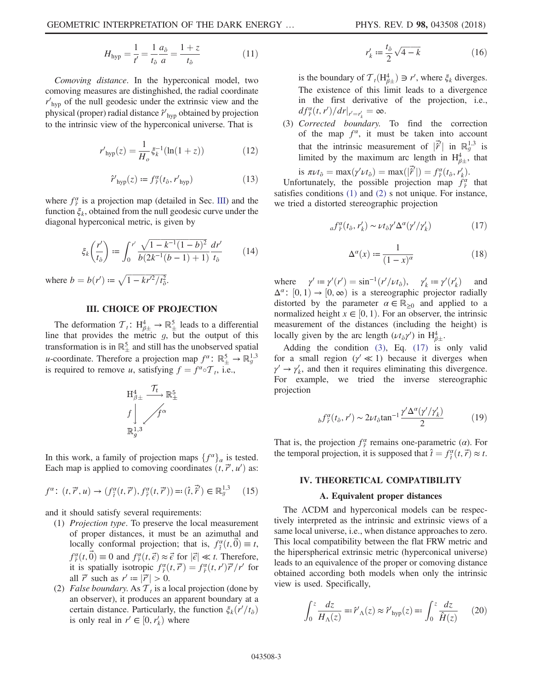$$
H_{\rm hyp} = \frac{1}{t'} = \frac{1}{t_{\hat{o}}} \frac{a_{\hat{o}}}{a} = \frac{1+z}{t_{\hat{o}}} \tag{11}
$$

<span id="page-2-3"></span>Comoving distance. In the hyperconical model, two comoving measures are distinghished, the radial coordinate  $r'_{\text{hyp}}$  of the null geodesic under the extrinsic view and the physical (proper) radial distance  $\hat{r}'_{\text{hyp}}$  obtained by projection to the intrinsic view of the hyperconical universe. That is

$$
r'_{\rm hyp}(z) = \frac{1}{H_o} \xi_k^{-1} (\ln(1+z))
$$
 (12)

$$
\hat{r}'_{\rm hyp}(z) := f_{\hat{r}}^{\alpha}(t_{\hat{o}}, r'_{\rm hyp})
$$
\n(13)

<span id="page-2-5"></span><span id="page-2-4"></span>where  $f^{\alpha}_{\hat{r}}$  is a projection map (detailed in Sec. [III](#page-2-0)) and the function  $\xi_k$ , obtained from the null geodesic curve under the diagonal hyperconical metric, is given by

$$
\xi_k\left(\frac{r'}{t_\delta}\right) := \int_0^{r'} \frac{\sqrt{1 - k^{-1}(1 - b)^2}}{b(2k^{-1}(b - 1) + 1)} \frac{dr'}{t_\delta} \tag{14}
$$

<span id="page-2-0"></span>where  $b = b(r') \coloneqq \sqrt{1 - kr'^2/t_0^2}$ .

# III. CHOICE OF PROJECTION

The deformation  $\mathcal{T}_t$ :  $H_{\beta \pm}^4 \rightarrow \mathbb{R}^5$  leads to a differential e that provides the metric a but the output of this line that provides the metric  $g$ , but the output of this transformation is in  $\mathbb{R}^5_+$  and still has the unobserved spatial u-coordinate. Therefore a projection map  $f^{\alpha}$ :  $\mathbb{R}^5_{\pm} \to \mathbb{R}^{1,3}_{g}$ is required to remove u, satisfying  $f = f^{\alpha} \circ T_t$ , i.e.,



In this work, a family of projection maps  $\{f^{\alpha}\}_\alpha$  is tested. Each map is applied to comoving coordinates  $(t, \vec{r}', u')$  as:

$$
f^{\alpha} \colon (t, \vec{r}', u) \to (f^{\alpha}_{\hat{t}}(t, \vec{r}'), f^{\alpha}_{\hat{r}}(t, \vec{r}')) =: (\hat{t}, \vec{\hat{r}}') \in \mathbb{R}_{g}^{1,3} \quad (15)
$$

and it should satisfy several requirements:

- (1) Projection type. To preserve the local measurement of proper distances, it must be an azimuthal and locally conformal projection; that is,  $f_4^{\alpha}(t, \vec{0}) \equiv t$ ,<br> $f_4^{\alpha}(t, \vec{0}) = 0$  and  $f_4^{\alpha}(t, \vec{1})$  and  $f_5^{\alpha}(t, \vec{1})$  and  $f_6^{\alpha}(t, \vec{1})$  $f^{\alpha}_{\uparrow}(t, \vec{0}) \equiv 0$  and  $f^{\alpha}_{\uparrow}(t, \vec{\epsilon}) \approx \vec{\epsilon}$  for  $|\vec{\epsilon}| \ll t$ . Therefore,<br>it is spatially isotropic  $f^{\alpha}(t, \vec{r}') = f^{\alpha}(t, r') \vec{r}'/r'$  for it is spatially isotropic  $f_{\tilde{r}}^{\alpha}(t, \vec{r}') = f_{\tilde{r}}^{\alpha}(t, r')\vec{r}'/r'$  for all  $\vec{r}'$  such as  $r' := |\vec{r}'| > 0$ all  $\vec{r}'$  such as  $r' := |\vec{r}'| > 0$ .<br>False houndary As  $\mathcal{T}$ , is a l
- (2) False boundary. As  $T_t$  is a local projection (done by an observer), it produces an apparent boundary at a certain distance. Particularly, the function  $\xi_k(r'/t_\delta)$ <br>is only real in  $r' \in [0, r')$  where is only real in  $r' \in [0, r'_k)$  where

$$
r'_{k} := \frac{t_{\hat{\partial}}}{2} \sqrt{4 - k} \tag{16}
$$

is the boundary of  $T_t(H_{\beta\pm}^4) \ni r'$ , where  $\xi_k$  diverges.<br>The existence of this limit leads to a divergence The existence of this limit leads to a divergence in the first derivative of the projection, i.e.,  $df_{\hat{r}}^{\alpha}(t, r')/dr|_{r'=r'_{k}} = \infty.$ 

(3) Corrected boundary. To find the correction of the map  $f^{\alpha}$ , it must be taken into account that the intrinsic measurement of  $|\vec{r}'|$  in  $\mathbb{R}_g^{1,3}$  is<br>limited by the maximum arc length in  $H^4$  that limited by the maximum arc length in  $H_{\beta\pm}^4$ , that

is 
$$
\pi \nu t_{\delta} = \max(\gamma' \nu t_{\delta}) = \max(|\vec{r}'|) = f_{\hat{r}}^{\alpha}(t_{\delta}, r'_{k}).
$$
  
Unfortunately, the possible projection map  $f_{\hat{r}}^{\alpha}$  that

<span id="page-2-1"></span>satisfies conditions [\(1\)](#page-0-2) and [\(2\)](#page-0-3) s not unique. For instance, we tried a distorted stereographic projection

$$
_{a}f_{\hat{r}}^{\alpha}(t_{\hat{o}},r_{k}') \sim \nu t_{\hat{o}}\gamma' \Delta^{\alpha}(\gamma'/\gamma_{k}')
$$
 (17)

$$
\Delta^{\alpha}(x) := \frac{1}{(1-x)^{\alpha}} \tag{18}
$$

where  $\gamma' := \gamma'(r') = \sin^{-1}(r'/\nu t_{\partial}), \quad \gamma'_{k} := \gamma'(r'_{k})$ <br> $\Delta^{\alpha}$  (0, 1)  $\rightarrow$  [0,  $\infty$ ) is a stereographic projector  $\binom{k}{k}$  and<br>redially  $\Delta^{\alpha}$ :  $[0, 1) \rightarrow [0, \infty)$  is a stereographic projector radially distorted by the parameter  $\alpha \in \mathbb{R}$ , and applied to a distorted by the parameter  $\alpha \in \mathbb{R}_{\geq 0}$  and applied to a normalized height  $x \in [0, 1)$ . For an observer, the intrinsic measurement of the distances (including the height) is locally given by the arc length  $(\nu t_{\delta} \gamma')$  in  $H_{\beta\pm}^4$ .

<span id="page-2-6"></span>Adding the condition [\(3\),](#page-1-1) Eq. [\(17\)](#page-2-1) is only valid for a small region ( $\gamma' \ll 1$ ) because it diverges when  $\gamma' \rightarrow \gamma'_k$ , and then it requires eliminating this divergence. For example, we tried the inverse stereographic projection

$$
b f_{\hat{r}}^{\alpha}(t_{\hat{o}}, r') \sim 2\nu t_{\hat{o}} \tan^{-1} \frac{\gamma' \Delta^{\alpha}(\gamma'/\gamma'_k)}{2}
$$
 (19)

That is, the projection  $f^{\alpha}_{\hat{r}}$  remains one-parametric ( $\alpha$ ). For the temporal projection, it is supposed that  $\hat{t} = f_i^{\alpha}(t, \vec{r}) \approx t$ .

## IV. THEORETICAL COMPATIBILITY

#### A. Equivalent proper distances

The ΛCDM and hyperconical models can be respectively interpreted as the intrinsic and extrinsic views of a same local universe, i.e., when distance approaches to zero. This local compatibility between the flat FRW metric and the hiperspherical extrinsic metric (hyperconical universe) leads to an equivalence of the proper or comoving distance obtained according both models when only the intrinsic view is used. Specifically,

<span id="page-2-2"></span>
$$
\int_0^z \frac{dz}{H_\Lambda(z)} = \mathbf{F}'_\Lambda(z) \approx \mathbf{\hat{r}}'_{\mathrm{hyp}}(z) = \mathbf{F}'_\Lambda \frac{dz}{\mathbf{\hat{H}}(z)} \tag{20}
$$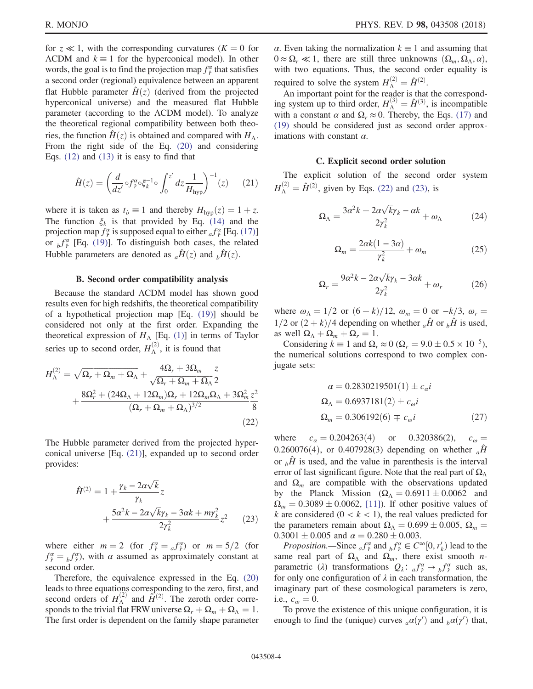for  $z \ll 1$ , with the corresponding curvatures ( $K = 0$  for  $\Lambda$ CDM and  $k \equiv 1$  for the hyperconical model). In other words, the goal is to find the projection map  $f^{\alpha}_{\hat{r}}$  that satisfies a second order (regional) equivalence between an apparent flat Hubble parameter  $H(z)$  (derived from the projected hyperconical universe) and the measured flat Hubble parameter (according to the ΛCDM model). To analyze the theoretical regional compatibility between both theories, the function  $\hat{H}(z)$  is obtained and compared with  $H_{\Lambda}$ . From the right side of the Eq. [\(20\)](#page-2-2) and considering Eqs. [\(12\)](#page-2-3) and [\(13\)](#page-2-4) it is easy to find that

<span id="page-3-0"></span>
$$
\hat{H}(z) = \left(\frac{d}{dz'} \circ f_{\hat{r}}^{\alpha} \circ \xi_k^{-1} \circ \int_0^{z'} dz \frac{1}{H_{\text{hyp}}}\right)^{-1}(z) \tag{21}
$$

where it is taken as  $t_{\delta} \equiv 1$  and thereby  $H_{\text{hyp}}(z) = 1 + z$ . The function  $\xi_k$  is that provided by Eq. [\(14\)](#page-2-5) and the projection map  $f^{\alpha}_{\hat{r}}$  is supposed equal to either  $_{a}f^{\alpha}_{\hat{r}}$  [Eq. [\(17\)\]](#page-2-1) or  $_b f^{\alpha}_{\hat{r}}$  [Eq. [\(19\)\]](#page-2-6). To distinguish both cases, the related Hubble parameters are denoted as  $_{a}\hat{H}(z)$  and  $_{b}\hat{H}(z)$ .

#### B. Second order compatibility analysis

Because the standard ΛCDM model has shown good results even for high redshifts, the theoretical compatibility of a hypothetical projection map [Eq. [\(19\)\]](#page-2-6) should be considered not only at the first order. Expanding the theoretical expression of  $H_A$  [Eq. [\(1\)\]](#page-0-2) in terms of Taylor series up to second order,  $H_{\Lambda}^{(2)}$ , it is found that

<span id="page-3-1"></span>
$$
H_{\Lambda}^{(2)} = \sqrt{\Omega_r + \Omega_m + \Omega_{\Lambda}} + \frac{4\Omega_r + 3\Omega_m}{\sqrt{\Omega_r + \Omega_m + \Omega_{\Lambda}}} \frac{z}{2}
$$
  
+ 
$$
\frac{8\Omega_r^2 + (24\Omega_\Lambda + 12\Omega_m)\Omega_r + 12\Omega_m\Omega_\Lambda + 3\Omega_m^2 z^2}{(\Omega_r + \Omega_m + \Omega_{\Lambda})^{3/2}} \frac{z^2}{8}
$$
(22)

<span id="page-3-2"></span>The Hubble parameter derived from the projected hyperconical universe [Eq. [\(21\)\]](#page-3-0), expanded up to second order provides:

$$
\hat{H}^{(2)} = 1 + \frac{\gamma_k - 2\alpha\sqrt{k}}{\gamma_k} z \n+ \frac{5\alpha^2 k - 2\alpha\sqrt{k}\gamma_k - 3\alpha k + m\gamma_k^2}{2\gamma_k^2} z^2
$$
\n(23)

where either  $m = 2$  (for  $f_f^{\alpha} = a f_f^{\alpha}$ ) or  $m = 5/2$  (for  $f^{\alpha} = f^{\alpha}$ ) with  $\alpha$  assumed as approximately constant at  $f_{\tilde{f}}^{\alpha} = {}_{b}f_{\tilde{f}}^{\alpha}$ , with  $\alpha$  assumed as approximately constant at second order second order.

Therefore, the equivalence expressed in the Eq. [\(20\)](#page-2-2) leads to three equations corresponding to the zero, first, and second orders of  $H_{\Lambda}^{(2)}$  and  $\hat{H}^{(2)}$ . The zeroth order corresponds to the trivial flat FRW universe  $\Omega_r + \Omega_m + \Omega_\Lambda = 1$ . The first order is dependent on the family shape parameter α. Even taking the normalization  $k = 1$  and assuming that  $0 \approx \Omega_r \ll 1$ , there are still three unknowns  $(\Omega_m, \Omega_\Lambda, \alpha)$ , with two equations. Thus, the second order equality is required to solve the system  $H_{\Lambda}^{(2)} = \hat{H}^{(2)}$ .<br>An important point for the reader is that

An important point for the reader is that the corresponding system up to third order,  $H_{\Lambda}^{(3)} = \hat{H}^{(3)}$ , is incompatible<br>with a constant  $\alpha$  and  $\Omega \approx 0$ . Thereby, the Eqs. (17) and with a constant  $\alpha$  and  $\Omega_r \approx 0$ . Thereby, the Eqs. [\(17\)](#page-2-1) and [\(19\)](#page-2-6) should be considered just as second order approximations with constant  $\alpha$ .

#### C. Explicit second order solution

The explicit solution of the second order system  $H_{\Lambda}^{(2)} = \hat{H}^{(2)}$ , given by Eqs. [\(22\)](#page-3-1) and [\(23\)](#page-3-2), is

$$
\Omega_{\Lambda} = \frac{3\alpha^2 k + 2\alpha \sqrt{k} \gamma_k - \alpha k}{2\gamma_k^2} + \omega_{\Lambda} \tag{24}
$$

$$
\Omega_m = \frac{2\alpha k(1 - 3\alpha)}{\gamma_k^2} + \omega_m \tag{25}
$$

$$
\Omega_r = \frac{9\alpha^2 k - 2\alpha\sqrt{k}\gamma_k - 3\alpha k}{2\gamma_k^2} + \omega_r \tag{26}
$$

where  $\omega_{\Lambda} = 1/2$  or  $(6 + k)/12$ ,  $\omega_m = 0$  or  $-k/3$ ,  $\omega_r =$  $1/2$  or  $(2 + k)/4$  depending on whether  $_{a}\hat{H}$  or  $_{b}\hat{H}$  is used, as well  $\Omega_{\Lambda} + \Omega_m + \Omega_r = 1$ .

<span id="page-3-3"></span>Considering  $k \equiv 1$  and  $\Omega_r \approx 0$  ( $\Omega_r = 9.0 \pm 0.5 \times 10^{-5}$ ),<br>Popularization correspond to two complex conthe numerical solutions correspond to two complex conjugate sets:

$$
\alpha = 0.2830219501(1) \pm c_{\alpha}i
$$
  
\n
$$
\Omega_{\Lambda} = 0.6937181(2) \pm c_{\omega}i
$$
  
\n
$$
\Omega_{m} = 0.306192(6) \mp c_{\omega}i
$$
 (27)

where  $c_{\alpha} = 0.204263(4)$  or  $0.320386(2)$ ,  $c_{\omega} =$ 0.260076(4), or 0.407928(3) depending on whether  $_{a}H$ or  $\partial_t H$  is used, and the value in parenthesis is the interval error of last significant figure. Note that the real part of  $\Omega_{\Lambda}$ and  $\Omega_m$  are compatible with the observations updated by the Planck Mission  $(\Omega_{\Lambda} = 0.6911 \pm 0.0062$  and<br>O  $-0.3089 \pm 0.0062$  [11]) If other positive values of  $\Omega_m = 0.3089 \pm 0.0062$ , [\[11\]](#page-5-4)). If other positive values of k are considered (0 < k < 1) the real values predicted for k are considered  $(0 < k < 1)$ , the real values predicted for the parameters remain about  $\Omega_{\Lambda} = 0.699 \pm 0.005$ ,  $\Omega_m = 0.3001 + 0.005$  and  $\alpha = 0.280 + 0.003$  $0.3001 \pm 0.005$  and  $\alpha = 0.280 \pm 0.003$ .<br>*Proposition* — Since  $f^{\alpha}$  and  $f^{\alpha} \in C^{\circ}$ 

Proposition.—Since  ${}_{a}f^{\alpha}_{f}$  and  ${}_{b}f^{\alpha}_{f} \in C^{\infty}[0, r'_{k}]$  lead to the real part of  $\Omega$ , and  $\Omega$  there exist smooth *n*same real part of  $\Omega_{\Lambda}$  and  $\Omega_{m}$ , there exist smooth *n*parametric ( $\lambda$ ) transformations  $Q_{\lambda}$ :  $_{a}f^{\alpha}_{\hat{r}} \rightarrow_{b} f^{\alpha}_{\hat{r}}$  such as, for only one configuration of  $\lambda$  in each transformation, the imaginary part of these cosmological parameters is zero, i.e.,  $c_{\omega} = 0$ .

To prove the existence of this unique configuration, it is enough to find the (unique) curves  $_a\alpha(\gamma')$  and  $_b\alpha(\gamma')$  that,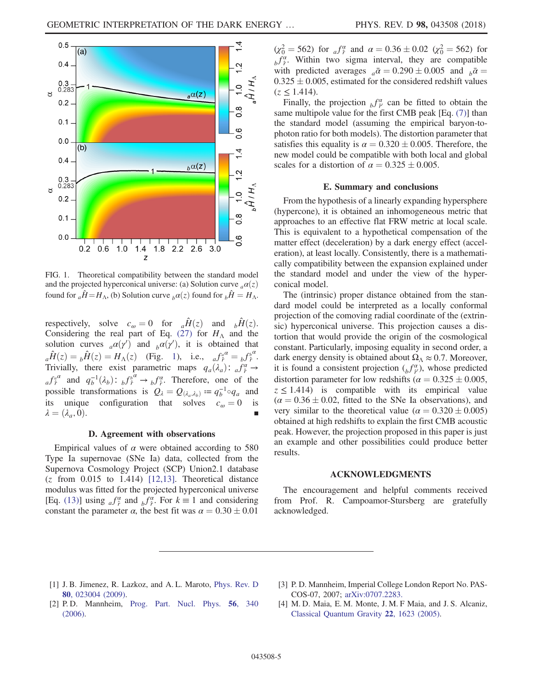<span id="page-4-4"></span>

FIG. 1. Theoretical compatibility between the standard model and the projected hyperconical universe: (a) Solution curve  $_a\alpha(z)$ found for  $_{a}\hat{H} = H_{\Lambda}$ , (b) Solution curve  $_{b}\alpha(z)$  found for  $_{b}\hat{H} = H_{\Lambda}$ .

respectively, solve  $c_{\omega} = 0$  for  $a\hat{H}(z)$  and  $b\hat{H}(z)$ . Considering the real part of Eq. [\(27\)](#page-3-3) for  $H<sub>Λ</sub>$  and the solution curves  $_a\alpha(y')$  and  $_b\alpha(y')$ , it is obtained that  $\hat{H}(s) = \hat{H}(s) - H(s)$ . (Fig. 1) is  $f_a\alpha = \beta b^{\alpha}$  ${}_{a}\hat{H}(z) = {}_{b}\hat{H}(z) = H_{\Lambda}(z)$  (Fig. [1\)](#page-4-4), i.e.,  ${}_{a}f_{\hat{r}}^{a} = {}_{b}f_{\hat{r}}^{b}$ .<br>Trivially there exist parametric maps  $g_{\lambda}(1) = f_{\lambda}^{a}$ . Trivially, there exist parametric maps  $q_a(\lambda_a)$ :  $a_f^{\alpha} \rightarrow$ <br> $f_a^{\alpha}$  and  $a^{-1}(\lambda_a)$ :  $f_b^{\alpha}$  and  $f_a^{\alpha}$ . Therefore, and of the  $a^f \hat{f}^a$  and  $q_b^{-1}(\lambda_b)$ :  $b^f \hat{f}^a \to b^f \hat{f}^a$ . Therefore, one of the possible transformations is  $Q_{\lambda} = Q_{(\lambda_a, \lambda_b)} := q_b^{-1} \circ q_a$  and<br>its unique configuration that solves  $c_a = 0$  is its unique configuration that solves  $c_{\omega} = 0$  is  $\lambda = (\lambda_a, 0).$ 

#### D. Agreement with observations

Empirical values of  $\alpha$  were obtained according to 580 Type Ia supernovae (SNe Ia) data, collected from the Supernova Cosmology Project (SCP) Union2.1 database  $(z$  from 0.015 to 1.414) [\[12,13\].](#page-5-5) Theoretical distance modulus was fitted for the projected hyperconical universe [Eq. [\(13\)\]](#page-2-4) using  $_{a}f^{\alpha}_{\hat{r}}$  and  $_{b}f^{\alpha}_{\hat{r}}$ . For  $k \equiv 1$  and considering constant the parameter  $\alpha$ , the best fit was  $\alpha = 0.30 \pm 0.01$ 

 $(\chi_0^2 = 562)$  for  $\int_a^{\alpha} f^{\alpha}$  and  $\alpha = 0.36 \pm 0.02$   $(\chi_0^2 = 562)$  for  $_{b}f^{\alpha}_{\hat{r}}$ . Within two sigma interval, they are compatible with predicted averages  $_a\bar{a} = 0.290 \pm 0.005$  and  $_b\bar{a} = 0.325 \pm 0.005$  estimated for the considered redshift values  $0.325 \pm 0.005$ , estimated for the considered redshift values  $(z < 1.414)$  $(z < 1.414)$ .

Finally, the projection  $_{b}f^{\alpha}_{\gamma}$  can be fitted to obtain the same multipole value for the first CMB peak [Eq. [\(7\)](#page-1-2)] than the standard model (assuming the empirical baryon-tophoton ratio for both models). The distortion parameter that satisfies this equality is  $\alpha = 0.320 \pm 0.005$ . Therefore, the new model could be compatible with both local and global new model could be compatible with both local and global scales for a distortion of  $\alpha = 0.325 \pm 0.005$ .

## E. Summary and conclusions

From the hypothesis of a linearly expanding hypersphere (hypercone), it is obtained an inhomogeneous metric that approaches to an effective flat FRW metric at local scale. This is equivalent to a hypothetical compensation of the matter effect (deceleration) by a dark energy effect (acceleration), at least locally. Consistently, there is a mathematically compatibility between the expansion explained under the standard model and under the view of the hyperconical model.

The (intrinsic) proper distance obtained from the standard model could be interpreted as a locally conformal projection of the comoving radial coordinate of the (extrinsic) hyperconical universe. This projection causes a distortion that would provide the origin of the cosmological constant. Particularly, imposing equality in second order, a dark energy density is obtained about  $\Omega_{\Lambda} \approx 0.7$ . Moreover, it is found a consistent projection  $\binom{f\alpha}{b}$ , whose predicted distortion parameter for low redshifts  $(\alpha = 0.325 \pm 0.005, z < 1.414)$  is compatible with its empirical value  $z \le 1.414$ ) is compatible with its empirical value  $(\alpha = 0.36 \pm 0.02)$ , fitted to the SNe Ia observations), and very similar to the theoretical value  $(\alpha = 0.320 \pm 0.005)$ very similar to the theoretical value  $(\alpha = 0.320 \pm 0.005)$ <br>obtained at high redshifts to explain the first CMB acquisite obtained at high redshifts to explain the first CMB acoustic peak. However, the projection proposed in this paper is just an example and other possibilities could produce better results.

#### ACKNOWLEDGMENTS

The encouragement and helpful comments received from Prof. R. Campoamor-Stursberg are gratefully acknowledged.

- <span id="page-4-0"></span>[1] J. B. Jimenez, R. Lazkoz, and A. L. Maroto, [Phys. Rev. D](https://doi.org/10.1103/PhysRevD.80.023004) 80[, 023004 \(2009\).](https://doi.org/10.1103/PhysRevD.80.023004)
- <span id="page-4-2"></span>[3] P. D. Mannheim, Imperial College London Report No. PAS-COS-07, 2007; [arXiv:0707.2283.](http://arXiv.org/abs/0707.2283)
- <span id="page-4-1"></span>[2] P. D. Mannheim, [Prog. Part. Nucl. Phys.](https://doi.org/10.1016/j.ppnp.2005.08.001) 56, 340 [\(2006\).](https://doi.org/10.1016/j.ppnp.2005.08.001)
- <span id="page-4-3"></span>[4] M. D. Maia, E. M. Monte, J. M. F Maia, and J. S. Alcaniz, [Classical Quantum Gravity](https://doi.org/10.1088/0264-9381/22/9/010) 22, 1623 (2005).